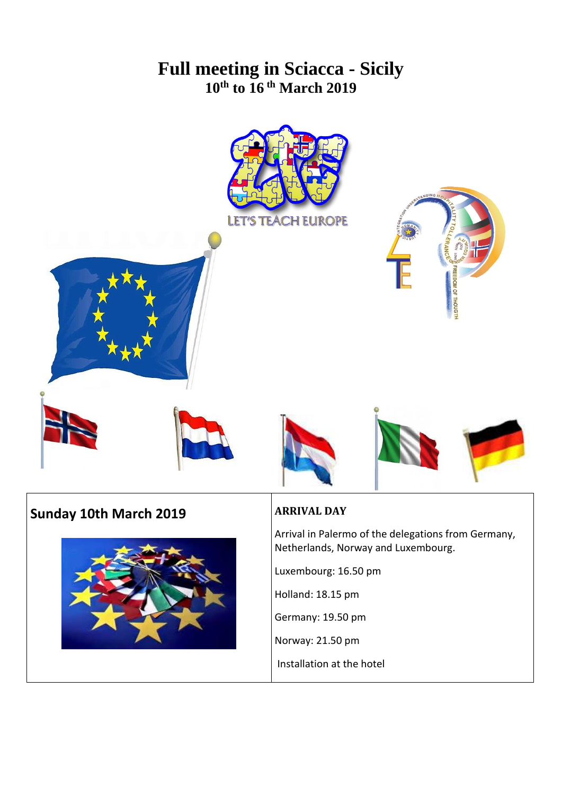# **Full meeting in Sciacca - Sicily 10th to 16 th March 2019**









# **Sunday 10th March 2019**



## **ARRIVAL DAY**

Arrival in Palermo of the delegations from Germany, Netherlands, Norway and Luxembourg.

Luxembourg: 16.50 pm

Holland: 18.15 pm

Germany: 19.50 pm

Norway: 21.50 pm

Installation at the hotel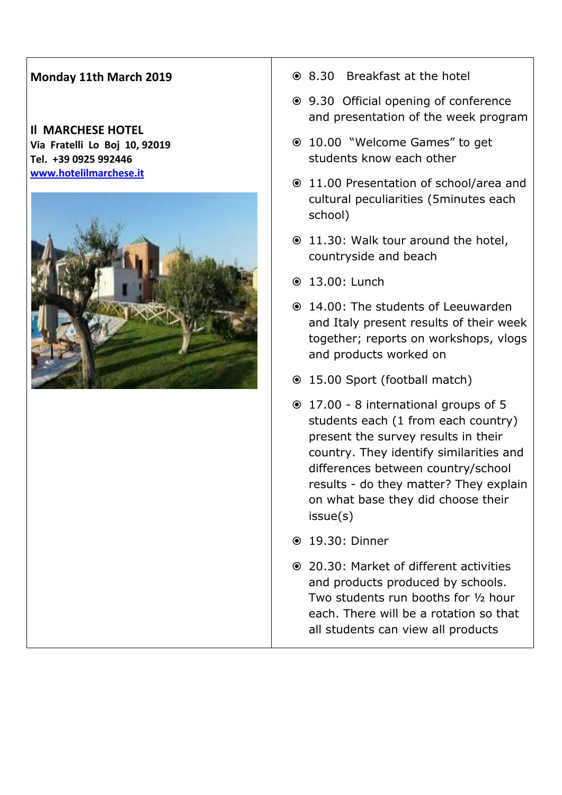## **Monday 11th March 2019**

#### **Il MARCHESE HOTEL Via Fratelli Lo Boj 10, 92019 Tel. +39 0925 992446 [www.hotelilmarchese.it](http://www.hotelilmarchese.it/)**



- 8.30 Breakfast at the hotel
- 9.30 Official opening of conference and presentation of the week program
- 10.00 "Welcome Games" to get students know each other
- 11.00 Presentation of school/area and cultural peculiarities (5minutes each school)
- 11.30: Walk tour around the hotel, countryside and beach
- 13.00: Lunch
- 14.00: The students of Leeuwarden and Italy present results of their week together; reports on workshops, vlogs and products worked on
- 15.00 Sport (football match)
- 17.00 8 international groups of 5 students each (1 from each country) present the survey results in their country. They identify similarities and differences between country/school results - do they matter? They explain on what base they did choose their issue(s)
- 19.30: Dinner
- 20.30: Market of different activities and products produced by schools. Two students run booths for ½ hour each. There will be a rotation so that all students can view all products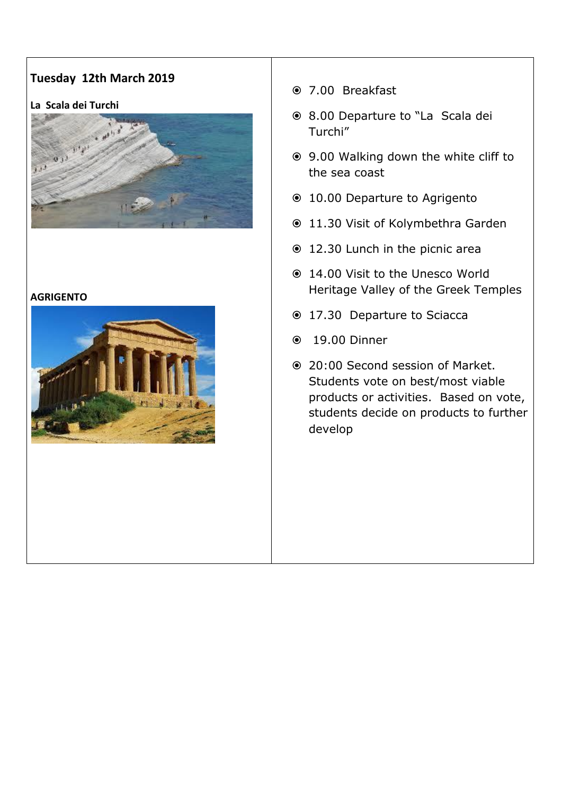## **Tuesday 12th March 2019**

#### **La Scala dei Turchi**



#### **AGRIGENTO**



- 7.00 Breakfast
- 8.00 Departure to "La Scala dei Turchi"
- 9.00 Walking down the white cliff to the sea coast
- 10.00 Departure to Agrigento
- 11.30 Visit of Kolymbethra Garden
- 12.30 Lunch in the picnic area
- 14.00 Visit to the Unesco World Heritage Valley of the Greek Temples
- 17.30 Departure to Sciacca
- 19.00 Dinner
- 20:00 Second session of Market. Students vote on best/most viable products or activities. Based on vote, students decide on products to further develop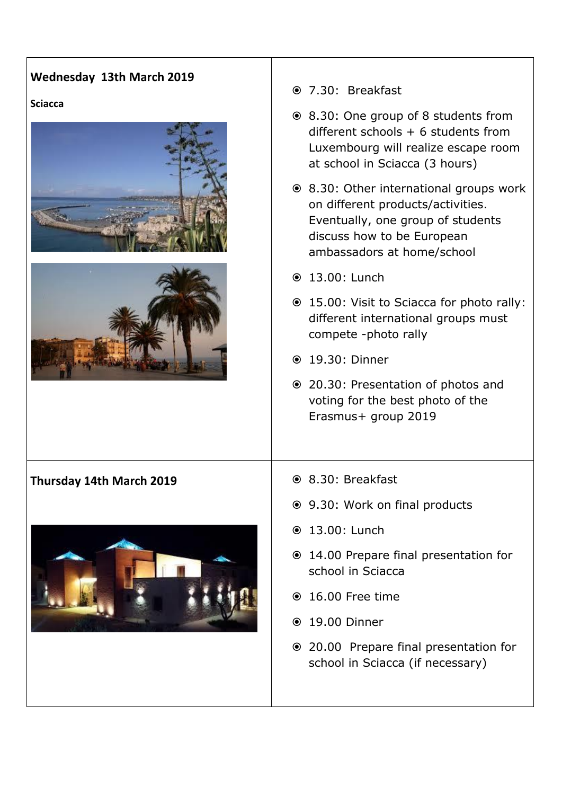## **Wednesday 13th March 2019**

#### **Sciacca**





#### **Thursday 14th March 2019 8.30: Breakfast**



- 7.30: Breakfast
- 8.30: One group of 8 students from different schools  $+ 6$  students from Luxembourg will realize escape room at school in Sciacca (3 hours)
- 8.30: Other international groups work on different products/activities. Eventually, one group of students discuss how to be European ambassadors at home/school
- 13.00: Lunch
- 15.00: Visit to Sciacca for photo rally: different international groups must compete -photo rally
- 19.30: Dinner
- 20.30: Presentation of photos and voting for the best photo of the Erasmus+ group 2019
- 
- 9.30: Work on final products
- 13.00: Lunch
- 14.00 Prepare final presentation for school in Sciacca
- 16.00 Free time
- 19.00 Dinner
- 20.00 Prepare final presentation for school in Sciacca (if necessary)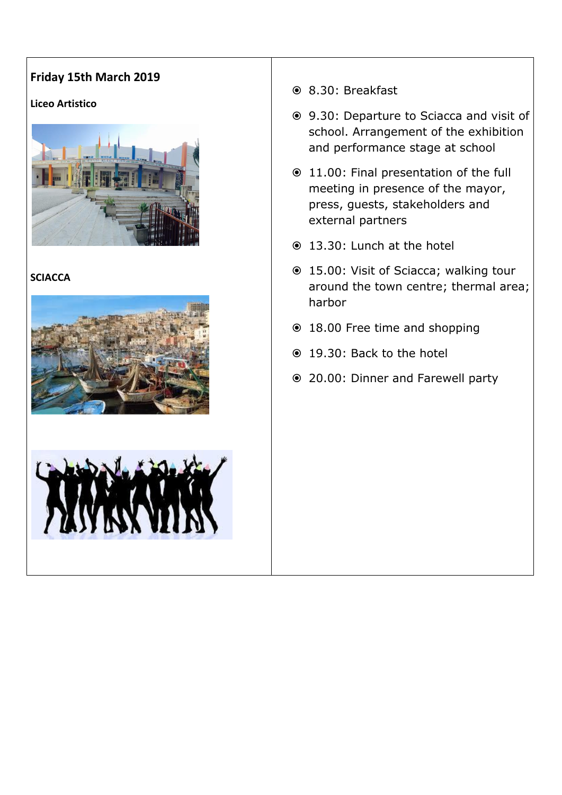# **Friday 15th March 2019**

### **Liceo Artistico**



## **SCIACCA**





- 8.30: Breakfast
- 9.30: Departure to Sciacca and visit of school. Arrangement of the exhibition and performance stage at school
- 11.00: Final presentation of the full meeting in presence of the mayor, press, guests, stakeholders and external partners
- 13.30: Lunch at the hotel
- 15.00: Visit of Sciacca; walking tour around the town centre; thermal area; harbor
- 18.00 Free time and shopping
- 19.30: Back to the hotel
- 20.00: Dinner and Farewell party